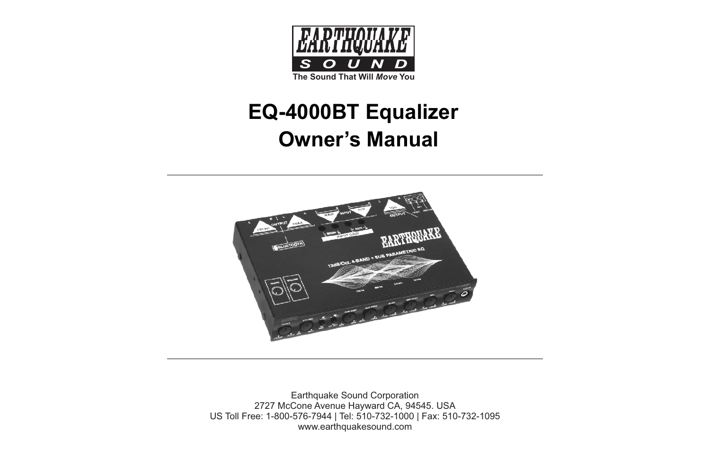

# **EQ-4000BT Equalizer Owner's Manual**



Earthquake Sound Corporation 2727 McCone Avenue Hayward CA, 94545. USA US Toll Free: 1-800-576-7944 | Tel: 510-732-1000 | Fax: 510-732-1095 www.earthquakesound.com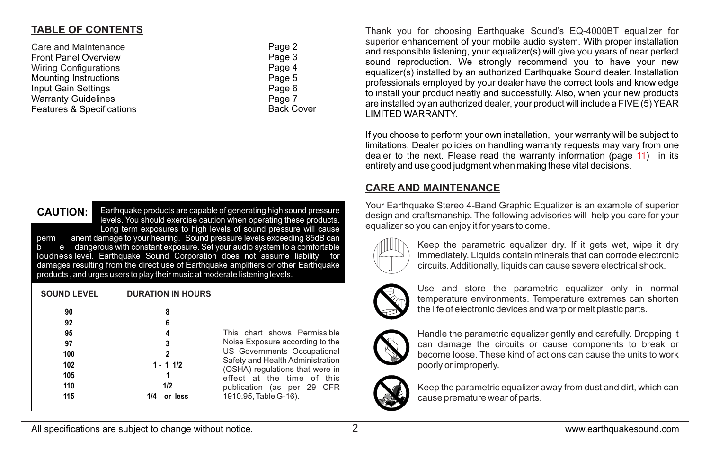### **TABLE OF CONTENTS**

| Care and Maintenance         | Page 2            |
|------------------------------|-------------------|
| <b>Front Panel Overview</b>  | Page 3            |
| <b>Wiring Configurations</b> | Page 4            |
| <b>Mounting Instructions</b> | Page 5            |
| Input Gain Settings          | Page 6            |
| <b>Warranty Guidelines</b>   | Page 7            |
| Features & Specifications    | <b>Back Cover</b> |
|                              |                   |

Earthquake products are capable of generating high sound pressure levels. You should exercise caution when operating these products. Long term exposures to high levels of sound pressure will cause perm anent damage to your hearing. Sound pressure levels exceeding 85dB can .<br>b e dangerous with constant exposure. Set your audio system to a comfortable<br>loudness level. Earthquake Sound Corporation does not assume liability for loudness level. Earthquake Sound Corporation does not assume liability damages resulting from the direct use of Earthquake amplifiers or other Earthquake products , and urges users to play their music at moderate listening levels. **CAUTION:**

| <b>SOUND LEVEL</b>                                      | <b>DURATION IN HOURS</b>                                                |                                                                                                                                                                                                                                                            |
|---------------------------------------------------------|-------------------------------------------------------------------------|------------------------------------------------------------------------------------------------------------------------------------------------------------------------------------------------------------------------------------------------------------|
| 90<br>92<br>95<br>97<br>100<br>102<br>105<br>110<br>115 | 8<br>6<br>4<br>3<br>$\mathbf{2}$<br>$1 - 11/2$<br>1/2<br>or less<br>1/4 | This chart shows Permissible<br>Noise Exposure according to the<br>US Governments Occupational<br>Safety and Health Administration<br>(OSHA) regulations that were in<br>effect at the time of this<br>publication (as per 29 CFR<br>1910.95, Table G-16). |
|                                                         |                                                                         |                                                                                                                                                                                                                                                            |

Thank you for choosing Earthquake Sound's EQ-4000BT equalizer for superior enhancement of your mobile audio system. With proper installation and responsible listening, your equalizer(s) will give you years of near perfect sound reproduction. We strongly recommend you to have your new equalizer(s) installed by an authorized Earthquake Sound dealer. Installation professionals employed by your dealer have the correct tools and knowledge to install your product neatly and successfully. Also, when your new products are installed by an authorized dealer, your product will include a FIVE (5) YEAR LIMITED WARRANTY.

If you choose to perform your own installation, your warranty will be subject to limitations. Dealer policies on handling warranty requests may vary from one dealer to the next. Please read the warranty information (page 11) in its entirety and use good judgment when making these vital decisions.

## **CARE AND MAINTENANCE**

Your Earthquake Stereo 4-Band Graphic Equalizer is an example of superior design and craftsmanship. The following advisories will help you care for your equalizer so you can enjoy it for years to come.



Keep the parametric equalizer dry. If it gets wet, wipe it dry immediately. Liquids contain minerals that can corrode electronic circuits. Additionally, liquids can cause severe electrical shock.



Use and store the parametric equalizer only in normal temperature environments. Temperature extremes can shorten the life of electronic devices and warp or melt plastic parts.



Handle the parametric equalizer gently and carefully. Dropping it can damage the circuits or cause components to break or become loose. These kind of actions can cause the units to work poorly or improperly.



Keep the parametric equalizer away from dust and dirt, which can cause premature wear of parts.

All specifications are subject to change without notice.  $\overline{2}$  2 www.earthquakesound.com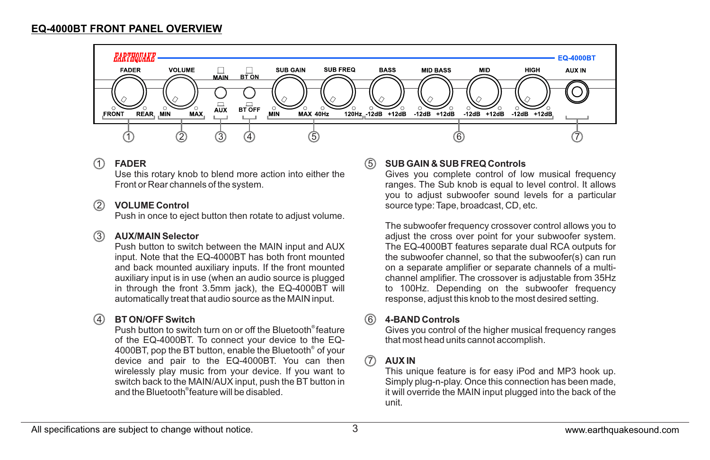

#### 1 **FADER**

Use this rotary knob to blend more action into either the Front or Rear channels of the system.

#### 2 **VOLUME Control**

Push in once to eject button then rotate to adjust volume.

#### 3 **AUX/MAIN Selector**

Push button to switch between the MAIN input and AUX input. Note that the EQ-4000BT has both front mounted and back mounted auxiliary inputs. If the front mounted auxiliary input is in use (when an audio source is plugged in through the front 3.5mm jack), the EQ-4000BT will automatically treat that audio source as the MAIN input.

#### $(4)$ **BT ON/OFF Switch**

Push button to switch turn on or off the Bluetooth<sup>®</sup> feature of the EQ-4000BT. To connect your device to the EQ- 4000BT, pop the BT button, enable the Bluetooth<sup>®</sup> of your device and pair to the EQ-4000BT. You can then wirelessly play music from your device. If you want to switch back to the MAIN/AUX input, push the BT button in and the Bluetooth<sup>®</sup>feature will be disabled.

#### **SUB GAIN & SUB FREQ Controls** 5

Gives you complete control of low musical frequency ranges. The Sub knob is equal to level control. It allows you to adjust subwoofer sound levels for a particular source type: Tape, broadcast, CD, etc.

The subwoofer frequency crossover control allows you to adjust the cross over point for your subwoofer system. The EQ-4000BT features separate dual RCA outputs for the subwoofer channel, so that the subwoofer(s) can run on a separate amplifier or separate channels of a multichannel amplifier. The crossover is adjustable from 35Hz to 100Hz. Depending on the subwoofer frequency response, adjust this knob to the most desired setting.

#### **4-BAND Controls** 6

Gives you control of the higher musical frequency ranges that most head units cannot accomplish.

#### $(7)$ **AUX IN**

This unique feature is for easy iPod and MP3 hook up. Simply plug-n-play. Once this connection has been made, it will override the MAIN input plugged into the back of the unit.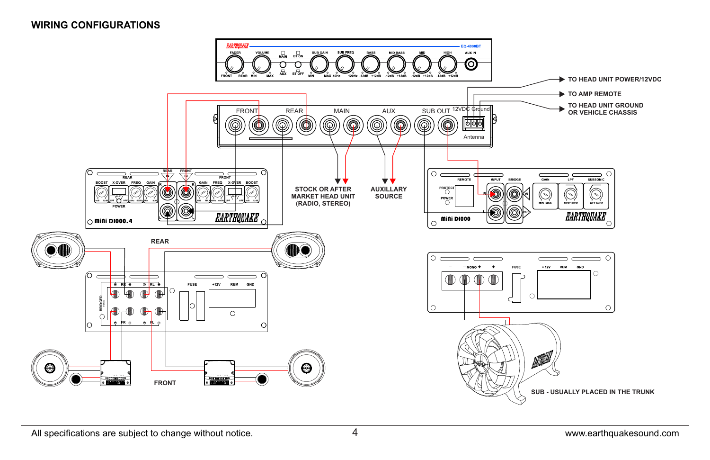### **WIRING CONFIGURATIONS**

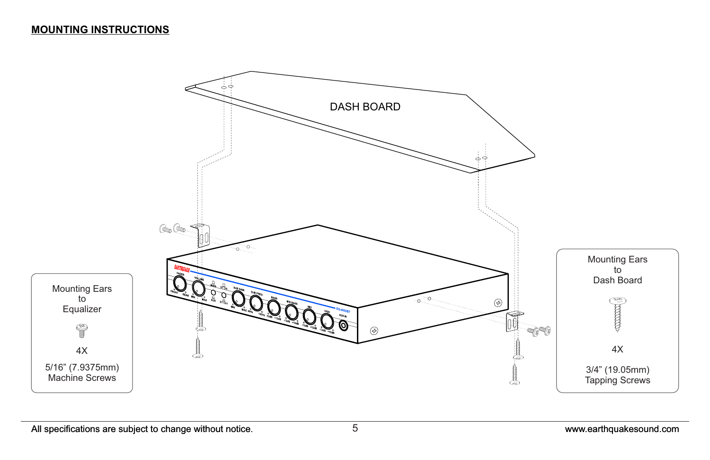### **MOUNTING INSTRUCTIONS**

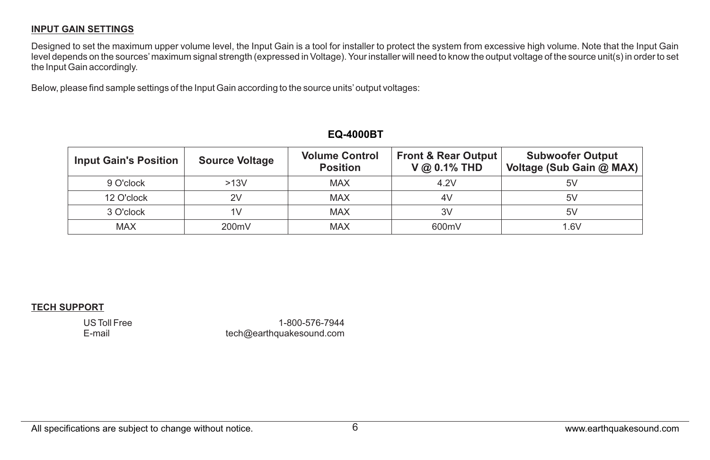### **INPUT GAIN SETTINGS**

Designed to set the maximum upper volume level, the Input Gain is a tool for installer to protect the system from excessive high volume. Note that the Input Gain level depends on the sources'maximum signal strength (expressed in Voltage). Your installer will need to know the output voltage of the source unit(s) in order to set the Input Gain accordingly.

Below, please find sample settings of the Input Gain according to the source units'output voltages:

| <b>Input Gain's Position</b> | <b>Source Voltage</b> | <b>Volume Control</b><br><b>Position</b> | <b>Front &amp; Rear Output</b><br>$V @ 0.1\% THD$ | <b>Subwoofer Output</b><br>Voltage (Sub Gain @ MAX) |
|------------------------------|-----------------------|------------------------------------------|---------------------------------------------------|-----------------------------------------------------|
| 9 O'clock                    | >13V                  | <b>MAX</b>                               | 4.2V                                              | 5V                                                  |
| 12 O'clock                   | 2V                    | <b>MAX</b>                               | 4V                                                | 5V                                                  |
| 3 O'clock                    | 1V                    | <b>MAX</b>                               | 3V                                                | 5V                                                  |
| <b>MAX</b>                   | 200mV                 | <b>MAX</b>                               | 600mV                                             | 1.6V                                                |

### **EQ-4000BT**

#### **TECH SUPPORT**

US Toll Free E-mail

1-800-576-7944 tech@earthquakesound.com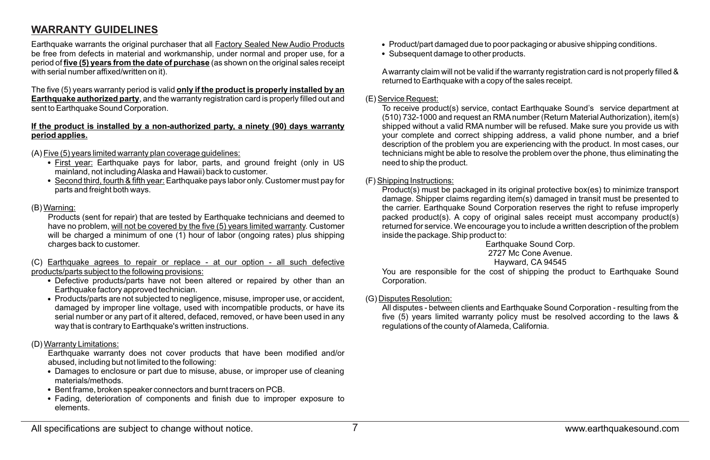### **WARRANTY GUIDELINES**

Earthquake warrants the original purchaser that all Factory Sealed New Audio Products be free from defects in material and workmanship, under normal and proper use, for a period of **five (5) years from the date of purchase** (as shown on the original sales receipt with serial number affixed/written on it).

The five (5) years warranty period is valid **only if the product is properly installed by an Earthquake authorized party**, and the warranty registration card is properly filled out and sent to Earthquake Sound Corporation.

#### **If the product is installed by a non-authorized party, a ninety (90) days warranty period applies.**

#### (A) Five (5) years limited warranty plan coverage guidelines:

- First year: Earthquake pays for labor, parts, and ground freight (only in US mainland, not including Alaska and Hawaii) back to customer.
- Second third, fourth & fifth year: Earthquake pays labor only. Customer must pay for parts and freight both ways.

#### (B) Warning:

Products (sent for repair) that are tested by Earthquake technicians and deemed to have no problem, will not be covered by the five (5) years limited warranty. Customer will be charged a minimum of one (1) hour of labor (ongoing rates) plus shipping charges back to customer.

(C) Earthquake agrees to repair or replace - at our option - all such defective products/parts subject to the following provisions:

- Defective products/parts have not been altered or repaired by other than an Earthquake factory approved technician.
- Products/parts are not subjected to negligence, misuse, improper use, or accident, damaged by improper line voltage, used with incompatible products, or have its serial number or any part of it altered, defaced, removed, or have been used in any way that is contrary to Earthquake's written instructions.

#### (D) Warranty Limitations:

Earthquake warranty does not cover products that have been modified and/or abused, including but not limited to the following:

- Damages to enclosure or part due to misuse, abuse, or improper use of cleaning materials/methods.
- Bent frame, broken speaker connectors and burnt tracers on PCB.
- Fading, deterioration of components and finish due to improper exposure to elements.
- Product/part damaged due to poor packaging or abusive shipping conditions.
- Subsequent damage to other products.

Awarranty claim will not be valid if the warranty registration card is not properly filled & returned to Earthquake with a copy of the sales receipt.

#### (E) Service Request:

To receive product(s) service, contact Earthquake Sound's service department at (510) 732-1000 and request an RMAnumber (Return Material Authorization), item(s) shipped without a valid RMA number will be refused. Make sure you provide us with your complete and correct shipping address, a valid phone number, and a brief description of the problem you are experiencing with the product. In most cases, our technicians might be able to resolve the problem over the phone, thus eliminating the need to ship the product.

#### (F) Shipping Instructions:

Product(s) must be packaged in its original protective box(es) to minimize transport damage. Shipper claims regarding item(s) damaged in transit must be presented to the carrier. Earthquake Sound Corporation reserves the right to refuse improperly packed product(s). A copy of original sales receipt must accompany product(s) returned for service. We encourage you to include a written description of the problem inside the package. Ship product to:

#### Earthquake Sound Corp. 2727 Mc Cone Avenue.

### Hayward, CA 94545

You are responsible for the cost of shipping the product to Earthquake Sound Corporation.

#### (G) Disputes Resolution:

All disputes - between clients and Earthquake Sound Corporation - resulting from the five (5) years limited warranty policy must be resolved according to the laws & regulations of the county of Alameda, California.